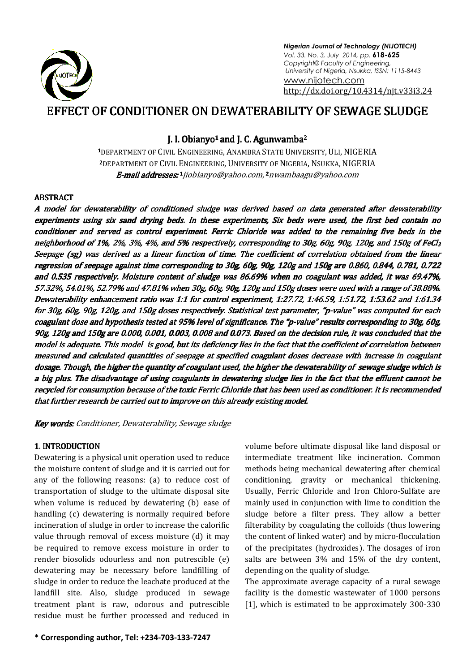

*Nigerian Journal of Technology (NIJOTECH) Vol. 33. No. 3, July 201 2014, pp.* **618-625** *Copyright© Faculty of Engineering, University of Nigeria, Nsukka, ISSN: 1115 1115-8443* www.nijotech.com http://dx.doi.org/10.4314/njt.v33i3.24 http://dx.doi.org/10.4314/njt.v33i3.24

# EFFECT OF CONDITIONER ON DEWATERABILITY OF SEWAGE SLUDGE

# J. I. Obianyo<sup>1</sup> and J. C. Agunwamba<sup>2</sup>

<sup>1</sup>DEPARTMENT OF CIVIL ENGINEERING, ANAMBRA STATE UNIVERSITY, ULI, NIGERIA <sup>2</sup>DEPARTMENT OF CIVIL ENGINEERING, UNIVERSITY OF NIGERIA, NSUKKA, NIGERIA **E-mail addresses: 1** jiobianyo@yahoo.com, **2** nwambaagu@yahoo.com

## ABSTRACT

A model for dewaterability of conditioned sludge was derived based on data generated after dewaterability experiments using six sand drying beds beds. In these experiments, Six beds were used, the first bed contain no conditioner and served as control experiment. Ferric Chloride was added to the remaining five beds in the experiments asing six sand drying seas. In these experiments, six seas were ased, the first sea contain no<br>conditioner and served as control experiment. Ferric Chloride was added to the remaining five beds in the<br>neighborh Seepage (sg) was derived as a linear function of time. The coefficient of correlation obtained from the linear regression of seepage against time corresponding to 30g, 60g, 90g, 120g and 150g are 0.860, 0.844, 0.781, 0.722 and 0.535 respectively. Moisture content of sludge was 86.69% when no coagulant was added, it was 69.47%, 57.32%, 54.01%, 52.79% and 47.81% when 30g, 60g, 90g, 120g and 150g doses were used with a range of 38.88%. Dewaterability enhancement ratio was 1:1 for control experiment, 1:27.72, 1:46.59, 1:51.72, 1:53.62 and 1:61.34 Dewaterability enhancement ratio was 1:1 for control experiment, 1:27.72, 1:46.59, 1:51.72, 1:53.62 and 1:61.34<br>for 30g, 60g, 90g, 120g, and 150g doses respectively. Statistical test parameter, "p-value" was computed for e coagulant dose and hypothesis tested at 95% level of significance. The "p-value" results corresponding to 30g, 60g, 90g, 120g and 150g are 0.000, 0.001, 0.003, 0.008 and 0.073. Based on the decision rule, it was concluded that the model is adequate. This model is good, but its deficiency lies in the fact that the coefficient of correlation between measured and calculated quantities of seepage at specified coagulant doses decrease with increase in coagulant dosage. Though, the higher the quantity of coagulant used, the higher the dewaterability of sewage sludge which is a big plus. The disadvantage of using coagulants in dewatering sludge lies in the fact that the effluent cannot be recycled for consumption because of the toxic Ferric Chloride that has been used as conditioner. It is recommended that further research be carried out to improve on this already existing model.

Key words: Conditioner, Dewaterability, Sewage sludge

# 1. INTRODUCTION

Dewatering is a physical unit operation used to reduce the moisture content of sludge and it is carried out for any of the following reasons: (a) to reduce cost of transportation of sludge to the ultimate disposal site when volume is reduced by dewatering (b) ease of handling (c) dewatering is normally required before incineration of sludge in order to increase the calorific value through removal of excess moisture (d) it may be required to remove excess moisture in order to render biosolids odourless and non putrescible (e) dewatering may be necessary before landfilling of sludge in order to reduce the leachate produced at the landfill site. Also, sludge produced in sewage treatment plant is raw, odorous and putrescible residue must be further processed and reduced in

FION<br>
volume before ultimate disposal like land disposal or<br>
content of sludge and it is carried out for<br>
contentendiate treatment like incineration. Common<br>
collowing reasons: (a) to reduce cost of<br>
conditioning, gravity intermediate treatment like incineration. Common methods being mechanical dewatering after chemical conditioning, gravity or mechanical thickening. Usually, Ferric Chloride and Iron Chloro Chloro-Sulfate are mainly used in conjunction with lime to condition the sludge before a filter press. They allow a better filterability by coagulating the colloids (thus lowering the content of linked water) and by micro-flocculation of the precipitates (hydroxides). The dosages of iron salts are between 3% and 15% of the dry content, depending on the quality of sludge.

depending on the quality of sludge.<br>The approximate average capacity of a rural sewage facility is the domestic wastewater of 1000 persons [1], which is estimated to be approximately 300-330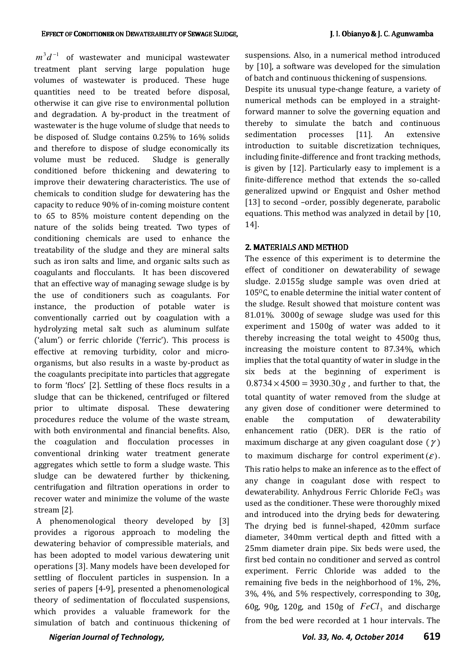$m^3 d^{-1}$  of wastewater and municipal wastewater treatment plant serving large population huge volumes of wastewater is produced. These huge quantities need to be treated before disposal, otherwise it can give rise to environmental pollution and degradation. A by-product in the treatment of wastewater is the huge volume of sludge that needs to be disposed of. Sludge contains 0.25% to 16% solids and therefore to dispose of sludge economically its volume must be reduced. Sludge is generally conditioned before thickening and dewatering to improve their dewatering characteristics. The use of chemicals to condition sludge for dewatering has the capacity to reduce 90% of in-coming moisture content to 65 to 85% moisture content depending on the nature of the solids being treated. Two types of conditioning chemicals are used to enhance the treatability of the sludge and they are mineral salts such as iron salts and lime, and organic salts such as coagulants and flocculants. It has been discovered that an effective way of managing sewage sludge is by the use of conditioners such as coagulants. For instance, the production of potable water is conventionally carried out by coagulation with a hydrolyzing metal salt such as aluminum sulfate ('alum') or ferric chloride ('ferric'). This process is effective at removing turbidity, color and microorganisms, but also results in a waste by-product as the coagulants precipitate into particles that aggregate to form 'flocs' [2]. Settling of these flocs results in a sludge that can be thickened, centrifuged or filtered prior to ultimate disposal. These dewatering procedures reduce the volume of the waste stream, with both environmental and financial benefits. Also, the coagulation and flocculation processes in conventional drinking water treatment generate aggregates which settle to form a sludge waste. This sludge can be dewatered further by thickening, centrifugation and filtration operations in order to recover water and minimize the volume of the waste stream [2].

 A phenomenological theory developed by [3] provides a rigorous approach to modeling the dewatering behavior of compressible materials, and has been adopted to model various dewatering unit operations [3]. Many models have been developed for settling of flocculent particles in suspension. In a series of papers [4-9], presented a phenomenological theory of sedimentation of flocculated suspensions, which provides a valuable framework for the simulation of batch and continuous thickening of suspensions. Also, in a numerical method introduced by [10], a software was developed for the simulation of batch and continuous thickening of suspensions.

Despite its unusual type-change feature, a variety of numerical methods can be employed in a straightforward manner to solve the governing equation and thereby to simulate the batch and continuous sedimentation processes [11]. An extensive introduction to suitable discretization techniques, including finite-difference and front tracking methods, is given by [12]. Particularly easy to implement is a finite-difference method that extends the so-called generalized upwind or Engquist and Osher method [13] to second -order, possibly degenerate, parabolic equations. This method was analyzed in detail by [10, 14].

#### 2. MATERIALS AND METHOD 2. MATERIALS AND METHOD METHOD

The essence of this experiment is to determine the effect of conditioner on dewaterability of sewage sludge. 2.0155g sludge sample was oven dried at 105<sup>o</sup>C, to enable determine the initial water content of the sludge. Result showed that moisture content was 81.01%. 3000g of sewage sludge was used for this experiment and 1500g of water was added to it thereby increasing the total weight to 4500g thus, increasing the moisture content to 87.34%, which implies that the total quantity of water in sludge in the six beds at the beginning of experiment is  $0.8734 \times 4500 = 3930.30g$ , and further to that, the total quantity of water removed from the sludge at any given dose of conditioner were determined to enable the computation of dewaterability enhancement ratio (DER). DER is the ratio of maximum discharge at any given coagulant dose ( $\gamma$ ) to maximum discharge for control experiment  $(\varepsilon)$ . This ratio helps to make an inference as to the effect of any change in coagulant dose with respect to dewaterability. Anhydrous Ferric Chloride FeCl3 was used as the conditioner. These were thoroughly mixed and introduced into the drying beds for dewatering. The drying bed is funnel-shaped, 420mm surface diameter, 340mm vertical depth and fitted with a 25mm diameter drain pipe. Six beds were used, the first bed contain no conditioner and served as control experiment. Ferric Chloride was added to the remaining five beds in the neighborhood of 1%, 2%, 3%, 4%, and 5% respectively, corresponding to 30g, 60g, 90g, 120g, and 150g of  $FeCl<sub>3</sub>$  and discharge from the bed were recorded at 1 hour intervals. The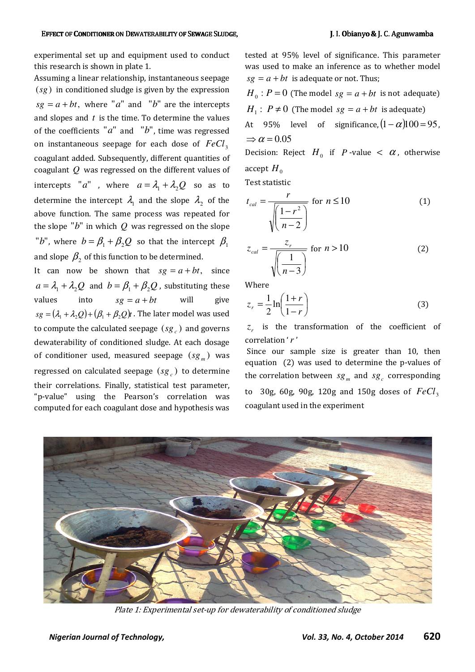experimental set up and equipment used to conduct this research is shown in plate 1.

Assuming a linear relationship, instantaneous seepage (*sg*) in conditioned sludge is given by the expression  $s\mathfrak{g} = a + bt$ , where "*a*" and "*b*" are the intercepts and slopes and *t* is the time. To determine the values of the coefficients " $a$ " and " $b$ ", time was regressed on instantaneous seepage for each dose of  $FeCl<sub>3</sub>$ coagulant added. Subsequently, different quantities of coagulant *Q* was regressed on the different values of intercepts "a", where  $a = \lambda_1 + \lambda_2 Q$  so as to determine the intercept  $\lambda_1$  and the slope  $\lambda_2$  of the above function. The same process was repeated for the slope  $b^{\prime\prime}$  in which  $Q$  was regressed on the slope *b*", where  $b = \beta_1 + \beta_2 Q$  so that the intercept  $\beta_1$ and slope  $\,\beta_{\scriptscriptstyle 2}^{\phantom i}\,$  of this function to be determined.

It can now be shown that  $sg = a + bt$ , since  $a = \lambda_1 + \lambda_2 Q$  and  $b = \beta_1 + \beta_2 Q$ , substituting these values into  $sg = a + bt$  will give  $sg = (\lambda_1 + \lambda_2 Q) + (\beta_1 + \beta_2 Q)t$ . The later model was used to compute the calculated seepage  $(sg_c)$  and governs dewaterability of conditioned sludge. At each dosage of conditioner used, measured seepage  $(sg_m)$  was regressed on calculated seepage  $(sg_c)$  to determine their correlations. Finally, statistical test parameter, "p-value" using the Pearson's correlation was computed for each coagulant dose and hypothesis was

tested at 95% level of significance. This parameter was used to make an inference as to whether model  $sg = a + bt$  is adequate or not. Thus;

 $H_0$ :  $P = 0$  (The model  $sg = a + bt$  is not adequate)

 $H_1$ :  $P \neq 0$  (The model  $sg = a + bt$  is adequate)

At 95% level of significance, $(1-\alpha)100 = 95$ ,  $\Rightarrow \alpha = 0.05$ 

Decision: Reject  $H_0$  if *P*-value  $\langle \alpha, \alpha \rangle$  otherwise accept  $H_0$ 

Test statistic

$$
t_{cal} = \frac{r}{\sqrt{\left(\frac{1-r^2}{n-2}\right)}} \text{ for } n \le 10
$$
 (1)

$$
z_{cal} = \frac{z_r}{\sqrt{\left(\frac{1}{n-3}\right)}} \text{ for } n > 10
$$
 (2)

Where

$$
z_r = \frac{1}{2} \ln \left( \frac{1+r}{1-r} \right) \tag{3}
$$

*r z* is the transformation of the coefficient of correlation '*r* '

 Since our sample size is greater than 10, then equation (2) was used to determine the p-values of the correlation between  $sg_m$  and  $sg_c$  corresponding to 30g, 60g, 90g, 120g and 150g doses of  $FeCl<sub>3</sub>$ coagulant used in the experiment



Plate 1: Experimental set-up for dewaterability of conditioned sludge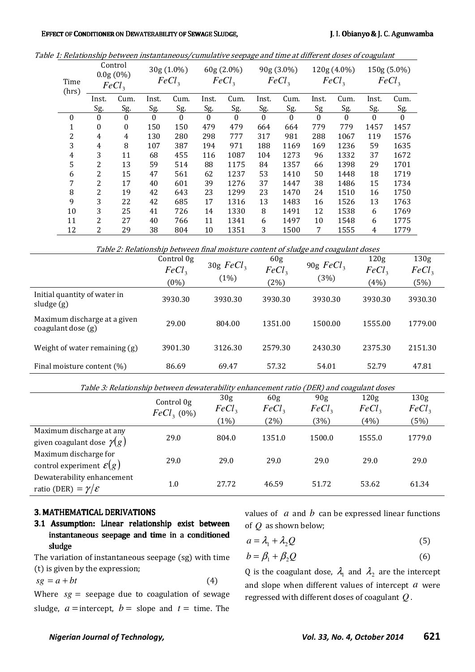#### EFFECT OF CONDITIONER ON DEWATERABILITY OF SEWAGE SLUDGE, J. J. J. Obianyo & J. C. Agunwamba

|  | Table 1: Relationship between instantaneous/cumulative seepage and time at different doses of coagulant |  |
|--|---------------------------------------------------------------------------------------------------------|--|
|  |                                                                                                         |  |

| Time<br>(hrs) |                | Control<br>$0.0g(0\%)$<br>FeCl <sub>3</sub> |          | 30g (1.0%)<br>FeCl <sub>3</sub> |          | 60g (2.0%)<br>FeCl <sub>3</sub> |          | 90g (3.0%)<br>FeCl <sub>3</sub> |          | 120g (4.0%)<br>FeCl <sub>3</sub> |              | 150g (5.0%)<br>FeCl <sub>3</sub> |
|---------------|----------------|---------------------------------------------|----------|---------------------------------|----------|---------------------------------|----------|---------------------------------|----------|----------------------------------|--------------|----------------------------------|
|               | Inst.          | Cum.                                        | Inst.    | Cum.                            | Inst.    | Cum.                            | Inst.    | Cum.                            | Inst.    | Cum.                             | Inst.        | Cum.                             |
|               | Sg.            | Sg.                                         | Sg.      | Sg.                             | Sg.      | Sg.                             | Sg.      | Sg.                             | Sg       | Sg.                              | Sg.          | Sg.                              |
| $\theta$      | $\mathbf{0}$   | 0                                           | $\theta$ | $\theta$                        | $\Omega$ | $\theta$                        | $\theta$ | $\Omega$                        | $\Omega$ | $\Omega$                         | $\mathbf{0}$ | $\Omega$                         |
| 1             | $\mathbf{0}$   | $\boldsymbol{0}$                            | 150      | 150                             | 479      | 479                             | 664      | 664                             | 779      | 779                              | 1457         | 1457                             |
| 2             | 4              | 4                                           | 130      | 280                             | 298      | 777                             | 317      | 981                             | 288      | 1067                             | 119          | 1576                             |
| 3             | 4              | 8                                           | 107      | 387                             | 194      | 971                             | 188      | 1169                            | 169      | 1236                             | 59           | 1635                             |
| 4             | 3              | 11                                          | 68       | 455                             | 116      | 1087                            | 104      | 1273                            | 96       | 1332                             | 37           | 1672                             |
| 5             | 2              | 13                                          | 59       | 514                             | 88       | 1175                            | 84       | 1357                            | 66       | 1398                             | 29           | 1701                             |
| 6             | 2              | 15                                          | 47       | 561                             | 62       | 1237                            | 53       | 1410                            | 50       | 1448                             | 18           | 1719                             |
| 7             | 2              | 17                                          | 40       | 601                             | 39       | 1276                            | 37       | 1447                            | 38       | 1486                             | 15           | 1734                             |
| 8             | $\overline{2}$ | 19                                          | 42       | 643                             | 23       | 1299                            | 23       | 1470                            | 24       | 1510                             | 16           | 1750                             |
| 9             | 3              | 22                                          | 42       | 685                             | 17       | 1316                            | 13       | 1483                            | 16       | 1526                             | 13           | 1763                             |
| 10            | 3              | 25                                          | 41       | 726                             | 14       | 1330                            | 8        | 1491                            | 12       | 1538                             | 6            | 1769                             |
| 11            | 2              | 27                                          | 40       | 766                             | 11       | 1341                            | 6        | 1497                            | 10       | 1548                             | 6            | 1775                             |
| 12            | 2              | 29                                          | 38       | 804                             | 10       | 1351                            | 3        | 1500                            | 7        | 1555                             | 4            | 1779                             |

Table 2: Relationship between final moisture content of sludge and coagulant doses

|                                                    | Control 0g<br>FeCl <sub>3</sub><br>$(0\%)$ | 30g $FeCl3$<br>(1%) | 60 <sub>g</sub><br>FeCl <sub>3</sub><br>(2%) | 90g $FeCl3$<br>(3%) | 120g<br>FeCl <sub>3</sub><br>(4%) | 130 <sub>g</sub><br>FeCl <sub>3</sub><br>(5%) |
|----------------------------------------------------|--------------------------------------------|---------------------|----------------------------------------------|---------------------|-----------------------------------|-----------------------------------------------|
| Initial quantity of water in<br>sludge $(g)$       | 3930.30                                    | 3930.30             | 3930.30                                      | 3930.30             | 3930.30                           | 3930.30                                       |
| Maximum discharge at a given<br>coagulant dose (g) | 29.00                                      | 804.00              | 1351.00                                      | 1500.00             | 1555.00                           | 1779.00                                       |
| Weight of water remaining $(g)$                    | 3901.30                                    | 3126.30             | 2579.30                                      | 2430.30             | 2375.30                           | 2151.30                                       |
| Final moisture content (%)                         | 86.69                                      | 69.47               | 57.32                                        | 54.01               | 52.79                             | 47.81                                         |

| Table 3: Relationship between dewaterability enhancement ratio (DER) and coagulant doses |  |  |
|------------------------------------------------------------------------------------------|--|--|
|                                                                                          |  |  |

|                                     | Control 0g<br>$FeCl_{3}(0\%)$ | 30 <sub>g</sub><br>FeCl <sub>3</sub> | 60 <sub>g</sub><br>FeCl <sub>3</sub> | 90 <sub>g</sub><br>FeCl <sub>3</sub> | 120 <sub>g</sub><br>FeCl <sub>3</sub> | 130 <sub>g</sub><br>FeCl <sub>3</sub> |
|-------------------------------------|-------------------------------|--------------------------------------|--------------------------------------|--------------------------------------|---------------------------------------|---------------------------------------|
|                                     |                               | (1%)                                 | (2%)                                 | (3%)                                 | (4%)                                  | (5%)                                  |
| Maximum discharge at any            | 29.0                          | 804.0                                | 1351.0                               | 1500.0                               | 1555.0                                | 1779.0                                |
| given coagulant dose $\gamma(g)$    |                               |                                      |                                      |                                      |                                       |                                       |
| Maximum discharge for               | 29.0                          | 29.0                                 | 29.0                                 | 29.0                                 | 29.0                                  | 29.0                                  |
| control experiment $\varepsilon(g)$ |                               |                                      |                                      |                                      |                                       |                                       |
| Dewaterability enhancement          | 1.0                           | 27.72                                | 46.59                                | 51.72                                | 53.62                                 | 61.34                                 |
| ratio (DER) = $\gamma/\varepsilon$  |                               |                                      |                                      |                                      |                                       |                                       |

#### 3. MATHEMATICAL DERIVATIONS

3.1 Assumption: Linear relationship exist between instantaneous seepage and time in a conditioned sludge

The variation of instantaneous seepage (sg) with time (t) is given by the expression;

$$
sg = a + bt \tag{4}
$$

Where  $sg =$  seepage due to coagulation of sewage sludge,  $a =$  intercept,  $b =$  slope and  $t =$  time. The

values of *a* and *b* can be expressed linear functions of *Q* as shown below;

$$
a = \lambda_1 + \lambda_2 Q \tag{5}
$$

$$
b = \beta_1 + \beta_2 Q \tag{6}
$$

Q is the coagulant dose,  $\lambda_1$  and  $\lambda_2$  are the intercept and slope when different values of intercept *a* were regressed with different doses of coagulant *Q* .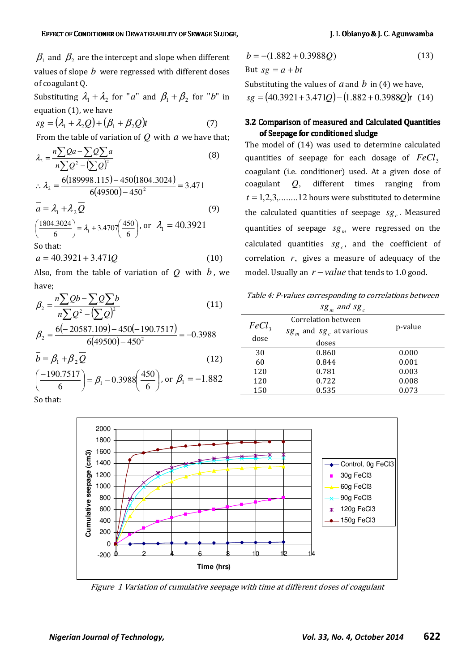$\beta_1$  and  $\beta_2$  are the intercept and slope when different values of slope *b* were regressed with different doses of coagulant Q.

Substituting  $\lambda_1 + \lambda_2$  for "a" and  $\beta_1 + \beta_2$  for "b" in equation (1), we have

$$
sg = (\lambda_1 + \lambda_2 Q) + (\beta_1 + \beta_2 Q)t
$$
\n(7)

From the table of variation of *Q* with *a* we have that;

$$
\lambda_2 = \frac{n \sum Qa - \sum Q \sum a}{n \sum Q^2 - (\sum Q)^2}
$$
(8)  
 
$$
\therefore \lambda_2 = \frac{6(189998.115) - 450(1804.3024)}{6(49500) - 450^2} = 3.471
$$

$$
\overline{a} = \lambda_1 + \lambda_2 \overline{Q}
$$
(9)  
(1804.3024)

 $\bigg)$  $\left(\frac{450}{6}\right)$  $= \lambda_1 + 3.4707$  $\mathsf{I}$ ∖  $\left(\frac{1804.3024}{6}\right) = \lambda_1 + 3.4707\left(\frac{450}{6}\right)$ , or  $\lambda_1 = 40.3921$ 6

So that:

$$
a = 40.3921 + 3.471Q \tag{10}
$$

Also, from the table of variation of  $Q$  with  $b$ , we have;

$$
\beta_2 = \frac{n \sum Qb - \sum Q \sum b}{n \sum Q^2 - (\sum Q)^2}
$$
\n(11)  
\n
$$
\beta_2 = \frac{6(-20587.109) - 450(-190.7517)}{6(49500) - 450^2} = -0.3988
$$

$$
b = \beta_1 + \beta_2 Q
$$
 (12)  

$$
\left(\frac{-190.7517}{6}\right) = \beta_1 - 0.3988 \left(\frac{450}{6}\right), \text{ or } \beta_1 = -1.882
$$

So that:



Substituting the values of *a* and *b* in (4) we have,  $sg = (40.3921 + 3.471Q) - (1.882 + 0.3988Q)t$  (14)

## 3.2 Comparison of measured and Calculated Quantities of Seepage for conditioned sludge

The model of (14) was used to determine calculated quantities of seepage for each dosage of  $FeCl<sub>3</sub>$ coagulant (i.e. conditioner) used. At a given dose of coagulant *Q*, different times ranging from  $t = 1, 2, 3, \ldots, 12$  hours were substituted to determine the calculated quantities of seepage  $sg_c$ . Measured quantities of seepage  $sg_m$  were regressed on the calculated quantities  $sg_c$ , and the coefficient of correlation  $r$ , gives a measure of adequacy of the model. Usually an  $r$  – *value* that tends to 1.0 good.

Table 4: P-values corresponding to correlations between *sg* and *sg*

|                   | $sg_m$ and $sg_c$            |         |
|-------------------|------------------------------|---------|
|                   | Correlation between          |         |
| FeCl <sub>3</sub> | $sg_m$ and $sg_c$ at various | p-value |
| dose              | doses                        |         |
| 30                | 0.860                        | 0.000   |
| 60                | 0.844                        | 0.001   |
| 120               | 0.781                        | 0.003   |
| 120               | 0.722                        | 0.008   |
| 150               | 0.535                        | 0.073   |



Figure 1 Variation of cumulative seepage with time at different doses of coagulant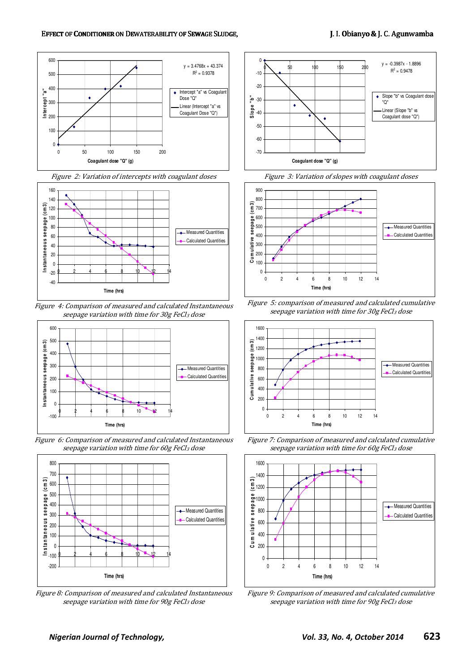





Figure 4: Comparison of measured and calculated Instantaneous seepage variation with time for 30g FeCl3 dose



Figure 6: Comparison of measured and calculated Instantaneous seepage variation with time for 60g FeCl3 dose



Figure 8: Comparison of measured and calculated Instantaneous seepage variation with time for 90g FeCl3 dose







Figure 5: comparison of measured and calculated cumulative seepage variation with time for 30g FeCl3 dose



Figure 7: Comparison of measured and calculated cumulative seepage variation with time for 60g FeCl3 dose



Figure 9: Comparison of measured and calculated cumulative seepage variation with time for 90g FeCl3 dose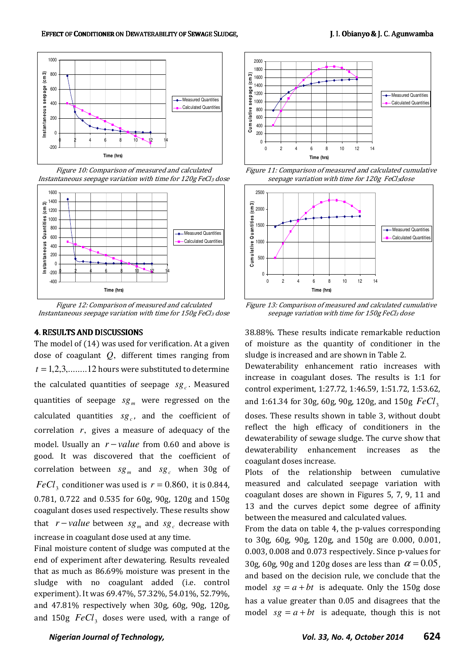

Figure 10: Comparison of measured and calculated Instantaneous seepage variation with time for 120g FeCl<sup>3</sup> dose



Figure 12: Comparison of measured and calculated Instantaneous seepage variation with time for 150g FeCl3 dose

#### 4. RESULTS AND DISCUSSIONS

The model of (14) was used for verification. At a given dose of coagulant *Q*, different times ranging from  $t = 1, 2, 3, \ldots$  12 hours were substituted to determine the calculated quantities of seepage  $sg_c$ . Measured quantities of seepage  $sg_m$  were regressed on the calculated quantities  $sg_c$ , and the coefficient of correlation  $r$ , gives a measure of adequacy of the model. Usually an *r* − *value* from 0.60 and above is good. It was discovered that the coefficient of  $correlation$  between  $sg_m$  and  $sg_c$  when 30g of  $FeCl<sub>3</sub>$  conditioner was used is  $r = 0.860$ , it is 0.844, 0.781, 0.722 and 0.535 for 60g, 90g, 120g and 150g coagulant doses used respectively. These results show that  $r$  − *value* between  $sg_m$  and  $sg_c$  decrease with increase in coagulant dose used at any time.

Final moisture content of sludge was computed at the end of experiment after dewatering. Results revealed that as much as 86.69% moisture was present in the sludge with no coagulant added (i.e. control experiment). It was 69.47%, 57.32%, 54.01%, 52.79%, and 47.81% respectively when 30g, 60g, 90g, 120g, and  $150$ g  $FeCl<sub>3</sub>$  doses were used, with a range of



Figure 11: Comparison of measured and calculated cumulative seepage variation with time for 120g FeCl3dose



Figure 13: Comparison of measured and calculated cumulative seepage variation with time for 150g FeCl3 dose

38.88%. These results indicate remarkable reduction of moisture as the quantity of conditioner in the sludge is increased and are shown in Table 2.

Dewaterability enhancement ratio increases with increase in coagulant doses. The results is 1:1 for control experiment, 1:27.72, 1:46.59, 1:51.72, 1:53.62, and 1:61.34 for 30g, 60g, 90g, 120g, and 150g  $FeCl<sub>3</sub>$ 

doses. These results shown in table 3, without doubt reflect the high efficacy of conditioners in the dewaterability of sewage sludge. The curve show that dewaterability enhancement increases as the coagulant doses increase.

Plots of the relationship between cumulative measured and calculated seepage variation with coagulant doses are shown in Figures 5, 7, 9, 11 and 13 and the curves depict some degree of affinity between the measured and calculated values.

From the data on table 4, the p-values corresponding to 30g, 60g, 90g, 120g, and 150g are 0.000, 0.001, 0.003, 0.008 and 0.073 respectively. Since p-values for 30g, 60g, 90g and 120g doses are less than  $\alpha = 0.05$ . and based on the decision rule, we conclude that the model  $sg = a + bt$  is adequate. Only the 150g dose has a value greater than 0.05 and disagrees that the model  $sg = a + bt$  is adequate, though this is not